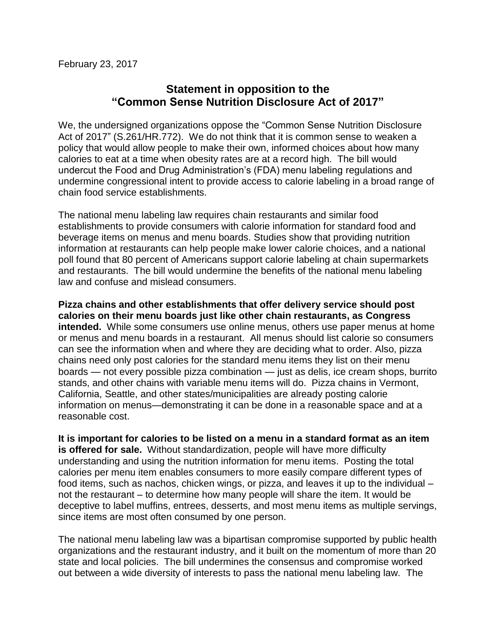February 23, 2017

## **Statement in opposition to the "Common Sense Nutrition Disclosure Act of 2017"**

We, the undersigned organizations oppose the "Common Sense Nutrition Disclosure Act of 2017" (S.261/HR.772). We do not think that it is common sense to weaken a policy that would allow people to make their own, informed choices about how many calories to eat at a time when obesity rates are at a record high. The bill would undercut the Food and Drug Administration's (FDA) menu labeling regulations and undermine congressional intent to provide access to calorie labeling in a broad range of chain food service establishments.

The national menu labeling law requires chain restaurants and similar food establishments to provide consumers with calorie information for standard food and beverage items on menus and menu boards. Studies show that providing nutrition information at restaurants can help people make lower calorie choices, and a national poll found that 80 percent of Americans support calorie labeling at chain supermarkets and restaurants. The bill would undermine the benefits of the national menu labeling law and confuse and mislead consumers.

**Pizza chains and other establishments that offer delivery service should post calories on their menu boards just like other chain restaurants, as Congress intended.** While some consumers use online menus, others use paper menus at home or menus and menu boards in a restaurant. All menus should list calorie so consumers can see the information when and where they are deciding what to order. Also, pizza chains need only post calories for the standard menu items they list on their menu boards — not every possible pizza combination — just as delis, ice cream shops, burrito stands, and other chains with variable menu items will do. Pizza chains in Vermont, California, Seattle, and other states/municipalities are already posting calorie information on menus—demonstrating it can be done in a reasonable space and at a reasonable cost.

**It is important for calories to be listed on a menu in a standard format as an item is offered for sale.** Without standardization, people will have more difficulty understanding and using the nutrition information for menu items. Posting the total calories per menu item enables consumers to more easily compare different types of food items, such as nachos, chicken wings, or pizza, and leaves it up to the individual – not the restaurant – to determine how many people will share the item. It would be deceptive to label muffins, entrees, desserts, and most menu items as multiple servings, since items are most often consumed by one person.

The national menu labeling law was a bipartisan compromise supported by public health organizations and the restaurant industry, and it built on the momentum of more than 20 state and local policies. The bill undermines the consensus and compromise worked out between a wide diversity of interests to pass the national menu labeling law. The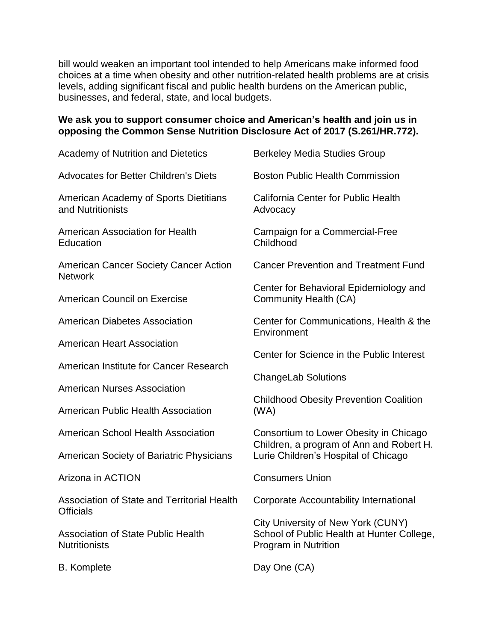bill would weaken an important tool intended to help Americans make informed food choices at a time when obesity and other nutrition-related health problems are at crisis levels, adding significant fiscal and public health burdens on the American public, businesses, and federal, state, and local budgets.

## **We ask you to support consumer choice and American's health and join us in opposing the Common Sense Nutrition Disclosure Act of 2017 (S.261/HR.772).**

| <b>Academy of Nutrition and Dietetics</b>                         | <b>Berkeley Media Studies Group</b>                                                                                        |
|-------------------------------------------------------------------|----------------------------------------------------------------------------------------------------------------------------|
| <b>Advocates for Better Children's Diets</b>                      | <b>Boston Public Health Commission</b>                                                                                     |
| American Academy of Sports Dietitians<br>and Nutritionists        | California Center for Public Health<br>Advocacy                                                                            |
| American Association for Health<br>Education                      | Campaign for a Commercial-Free<br>Childhood                                                                                |
| American Cancer Society Cancer Action<br><b>Network</b>           | <b>Cancer Prevention and Treatment Fund</b>                                                                                |
| <b>American Council on Exercise</b>                               | Center for Behavioral Epidemiology and<br>Community Health (CA)                                                            |
| <b>American Diabetes Association</b>                              | Center for Communications, Health & the<br>Environment                                                                     |
| <b>American Heart Association</b>                                 | Center for Science in the Public Interest                                                                                  |
| American Institute for Cancer Research                            | <b>ChangeLab Solutions</b><br><b>Childhood Obesity Prevention Coalition</b><br>(WA)                                        |
| <b>American Nurses Association</b>                                |                                                                                                                            |
| <b>American Public Health Association</b>                         |                                                                                                                            |
| <b>American School Health Association</b>                         | Consortium to Lower Obesity in Chicago<br>Children, a program of Ann and Robert H.<br>Lurie Children's Hospital of Chicago |
| American Society of Bariatric Physicians                          |                                                                                                                            |
| Arizona in ACTION                                                 | <b>Consumers Union</b>                                                                                                     |
| Association of State and Territorial Health<br>Officials          | Corporate Accountability International                                                                                     |
| <b>Association of State Public Health</b><br><b>Nutritionists</b> | City University of New York (CUNY)<br>School of Public Health at Hunter College,<br>Program in Nutrition                   |
| <b>B.</b> Komplete                                                | Day One (CA)                                                                                                               |

B. Komplete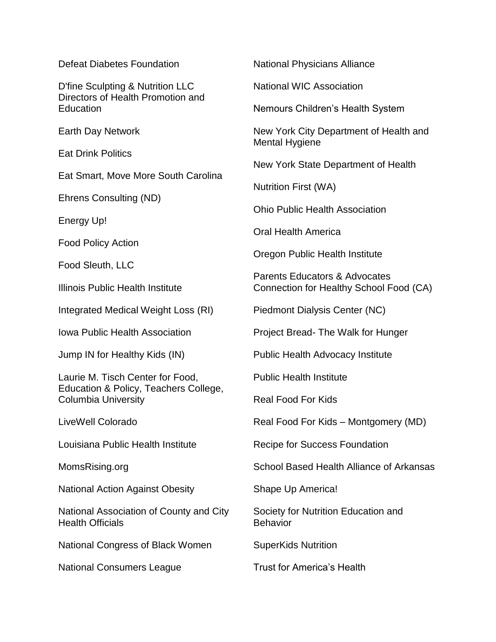Defeat Diabetes Foundation

D'fine Sculpting & Nutrition LLC Directors of Health Promotion and Education

Earth Day Network

Eat Drink Politics

Eat Smart, Move More South Carolina

Ehrens Consulting (ND)

Energy Up!

Food Policy Action

Food Sleuth, LLC

Illinois Public Health Institute

Integrated Medical Weight Loss (RI)

Iowa Public Health Association

Jump IN for Healthy Kids (IN)

Laurie M. Tisch Center for Food, Education & Policy, Teachers College, Columbia University

LiveWell Colorado

Louisiana Public Health Institute

MomsRising.org

National Action Against Obesity

National Association of County and City Health Officials

National Congress of Black Women

National Consumers League

National Physicians Alliance

National WIC Association

Nemours Children's Health System

New York City Department of Health and Mental Hygiene

New York State Department of Health

Nutrition First (WA)

Ohio Public Health Association

Oral Health America

Oregon Public Health Institute

Parents Educators & Advocates Connection for Healthy School Food (CA)

Piedmont Dialysis Center (NC)

Project Bread- The Walk for Hunger

Public Health Advocacy Institute

Public Health Institute

Real Food For Kids

Real Food For Kids – Montgomery (MD)

Recipe for Success Foundation

School Based Health Alliance of Arkansas

Shape Up America!

Society for Nutrition Education and Behavior

SuperKids Nutrition

Trust for America's Health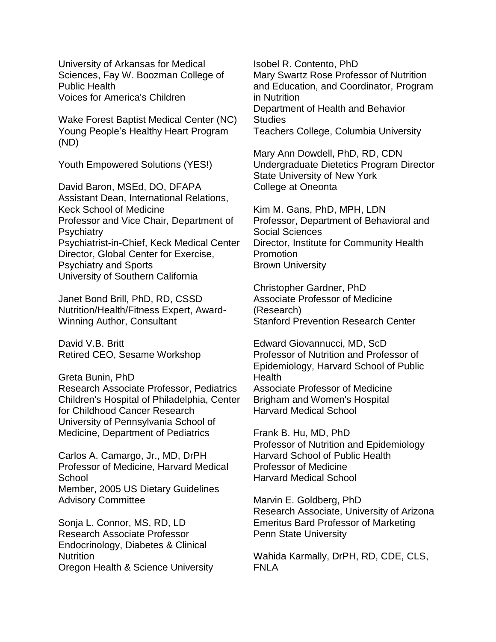University of Arkansas for Medical Sciences, Fay W. Boozman College of Public Health Voices for America's Children

Wake Forest Baptist Medical Center (NC) Young People's Healthy Heart Program (ND)

Youth Empowered Solutions (YES!)

David Baron, MSEd, DO, DFAPA Assistant Dean, International Relations, Keck School of Medicine Professor and Vice Chair, Department of **Psychiatry** Psychiatrist-in-Chief, Keck Medical Center Director, Global Center for Exercise, Psychiatry and Sports University of Southern California

Janet Bond Brill, PhD, RD, CSSD Nutrition/Health/Fitness Expert, Award-Winning Author, Consultant

David V.B. Britt Retired CEO, Sesame Workshop

Greta Bunin, PhD

Research Associate Professor, Pediatrics Children's Hospital of Philadelphia, Center for Childhood Cancer Research University of Pennsylvania School of Medicine, Department of Pediatrics

Carlos A. Camargo, Jr., MD, DrPH Professor of Medicine, Harvard Medical **School** Member, 2005 US Dietary Guidelines Advisory Committee

Sonja L. Connor, MS, RD, LD Research Associate Professor Endocrinology, Diabetes & Clinical **Nutrition** Oregon Health & Science University Isobel R. Contento, PhD Mary Swartz Rose Professor of Nutrition and Education, and Coordinator, Program in Nutrition Department of Health and Behavior **Studies** Teachers College, Columbia University

Mary Ann Dowdell, PhD, RD, CDN Undergraduate Dietetics Program Director State University of New York College at Oneonta

Kim M. Gans, PhD, MPH, LDN Professor, Department of Behavioral and Social Sciences Director, Institute for Community Health Promotion Brown University

Christopher Gardner, PhD Associate Professor of Medicine (Research) Stanford Prevention Research Center

Edward Giovannucci, MD, ScD Professor of Nutrition and Professor of Epidemiology, Harvard School of Public Health Associate Professor of Medicine Brigham and Women's Hospital Harvard Medical School

Frank B. Hu, MD, PhD Professor of Nutrition and Epidemiology Harvard School of Public Health Professor of Medicine Harvard Medical School

Marvin E. Goldberg, PhD Research Associate, University of Arizona Emeritus Bard Professor of Marketing Penn State University

Wahida Karmally, DrPH, RD, CDE, CLS, FNLA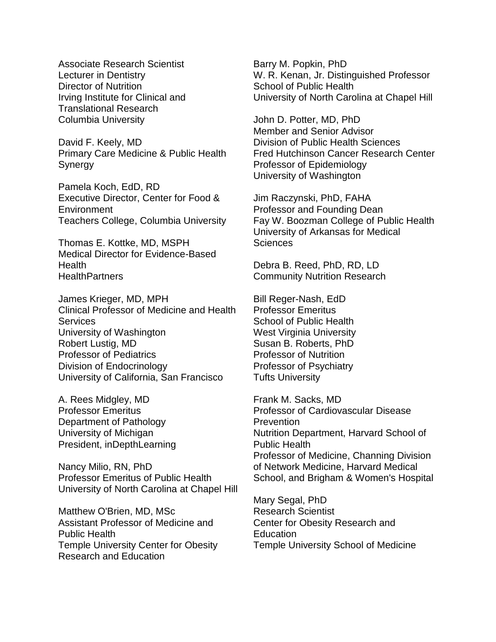Associate Research Scientist Lecturer in Dentistry Director of Nutrition Irving Institute for Clinical and Translational Research Columbia University

David F. Keely, MD Primary Care Medicine & Public Health Synergy

Pamela Koch, EdD, RD Executive Director, Center for Food & **Environment** Teachers College, Columbia University

Thomas E. Kottke, MD, MSPH Medical Director for Evidence-Based Health **HealthPartners** 

James Krieger, MD, MPH Clinical Professor of Medicine and Health **Services** University of Washington Robert Lustig, MD Professor of Pediatrics Division of Endocrinology University of California, San Francisco

A. Rees Midgley, MD Professor Emeritus Department of Pathology University of Michigan President, inDepthLearning

Nancy Milio, RN, PhD Professor Emeritus of Public Health University of North Carolina at Chapel Hill

Matthew O'Brien, MD, MSc Assistant Professor of Medicine and Public Health Temple University Center for Obesity Research and Education

Barry M. Popkin, PhD W. R. Kenan, Jr. Distinguished Professor School of Public Health University of North Carolina at Chapel Hill

John D. Potter, MD, PhD Member and Senior Advisor Division of Public Health Sciences Fred Hutchinson Cancer Research Center Professor of Epidemiology University of Washington

Jim Raczynski, PhD, FAHA Professor and Founding Dean Fay W. Boozman College of Public Health University of Arkansas for Medical **Sciences** 

Debra B. Reed, PhD, RD, LD Community Nutrition Research

Bill Reger-Nash, EdD Professor Emeritus School of Public Health West Virginia University Susan B. Roberts, PhD Professor of Nutrition Professor of Psychiatry Tufts University

Frank M. Sacks, MD Professor of Cardiovascular Disease **Prevention** Nutrition Department, Harvard School of Public Health Professor of Medicine, Channing Division of Network Medicine, Harvard Medical School, and Brigham & Women's Hospital

Mary Segal, PhD Research Scientist Center for Obesity Research and **Education** Temple University School of Medicine